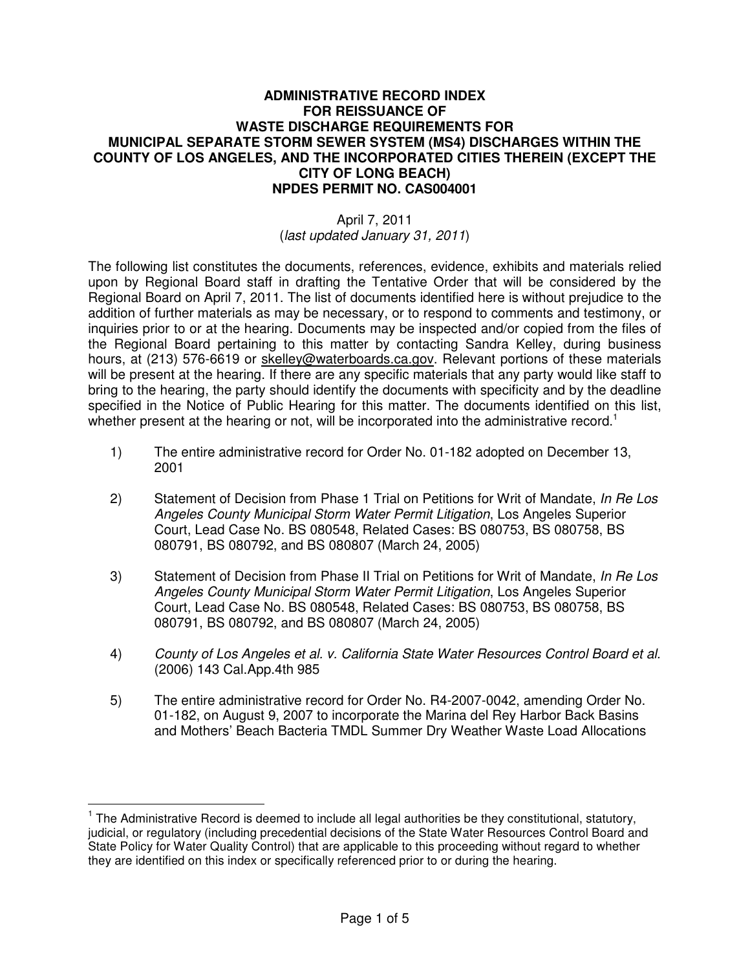## **ADMINISTRATIVE RECORD INDEX FOR REISSUANCE OF WASTE DISCHARGE REQUIREMENTS FOR MUNICIPAL SEPARATE STORM SEWER SYSTEM (MS4) DISCHARGES WITHIN THE COUNTY OF LOS ANGELES, AND THE INCORPORATED CITIES THEREIN (EXCEPT THE CITY OF LONG BEACH) NPDES PERMIT NO. CAS004001**

## April 7, 2011 (last updated January 31, 2011)

The following list constitutes the documents, references, evidence, exhibits and materials relied upon by Regional Board staff in drafting the Tentative Order that will be considered by the Regional Board on April 7, 2011. The list of documents identified here is without prejudice to the addition of further materials as may be necessary, or to respond to comments and testimony, or inquiries prior to or at the hearing. Documents may be inspected and/or copied from the files of the Regional Board pertaining to this matter by contacting Sandra Kelley, during business hours, at (213) 576-6619 or skelley@waterboards.ca.gov. Relevant portions of these materials will be present at the hearing. If there are any specific materials that any party would like staff to bring to the hearing, the party should identify the documents with specificity and by the deadline specified in the Notice of Public Hearing for this matter. The documents identified on this list, whether present at the hearing or not, will be incorporated into the administrative record.<sup>1</sup>

- 1) The entire administrative record for Order No. 01-182 adopted on December 13, 2001
- 2) Statement of Decision from Phase 1 Trial on Petitions for Writ of Mandate, In Re Los Angeles County Municipal Storm Water Permit Litigation, Los Angeles Superior Court, Lead Case No. BS 080548, Related Cases: BS 080753, BS 080758, BS 080791, BS 080792, and BS 080807 (March 24, 2005)
- 3) Statement of Decision from Phase II Trial on Petitions for Writ of Mandate, In Re Los Angeles County Municipal Storm Water Permit Litigation, Los Angeles Superior Court, Lead Case No. BS 080548, Related Cases: BS 080753, BS 080758, BS 080791, BS 080792, and BS 080807 (March 24, 2005)
- 4) County of Los Angeles et al. v. California State Water Resources Control Board et al. (2006) 143 Cal.App.4th 985
- 5) The entire administrative record for Order No. R4-2007-0042, amending Order No. 01-182, on August 9, 2007 to incorporate the Marina del Rey Harbor Back Basins and Mothers' Beach Bacteria TMDL Summer Dry Weather Waste Load Allocations

 $\overline{a}$ 

<sup>&</sup>lt;sup>1</sup> The Administrative Record is deemed to include all legal authorities be they constitutional, statutory, judicial, or regulatory (including precedential decisions of the State Water Resources Control Board and State Policy for Water Quality Control) that are applicable to this proceeding without regard to whether they are identified on this index or specifically referenced prior to or during the hearing.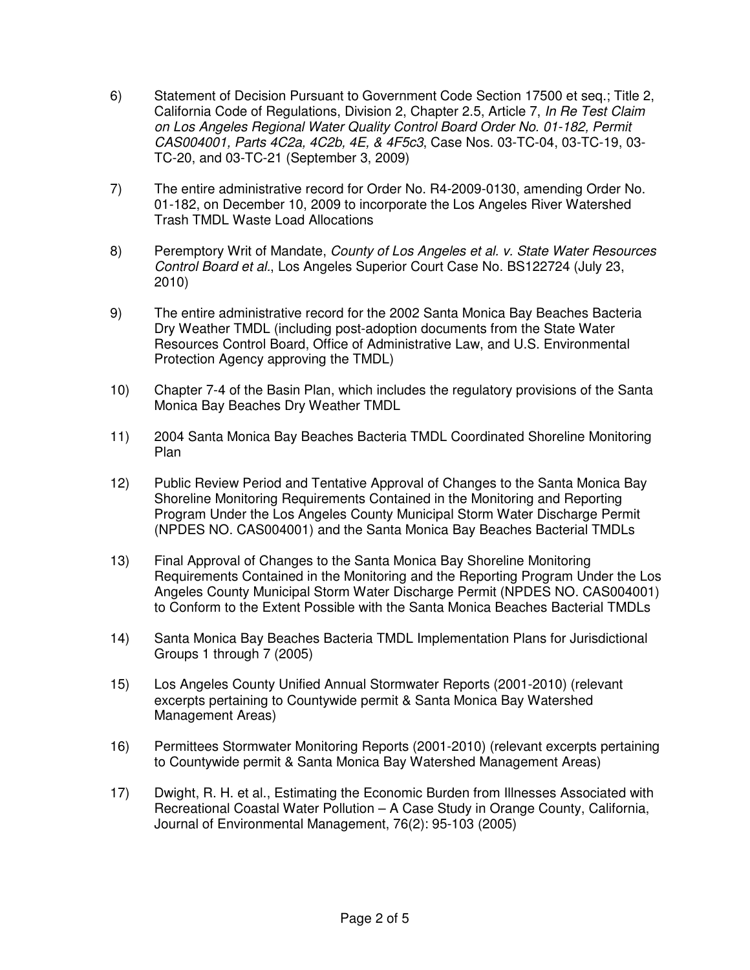- 6) Statement of Decision Pursuant to Government Code Section 17500 et seq.; Title 2, California Code of Regulations, Division 2, Chapter 2.5, Article 7, In Re Test Claim on Los Angeles Regional Water Quality Control Board Order No. 01-182, Permit CAS004001, Parts 4C2a, 4C2b, 4E, & 4F5c3, Case Nos. 03-TC-04, 03-TC-19, 03- TC-20, and 03-TC-21 (September 3, 2009)
- 7) The entire administrative record for Order No. R4-2009-0130, amending Order No. 01-182, on December 10, 2009 to incorporate the Los Angeles River Watershed Trash TMDL Waste Load Allocations
- 8) Peremptory Writ of Mandate, County of Los Angeles et al. v. State Water Resources Control Board et al., Los Angeles Superior Court Case No. BS122724 (July 23, 2010)
- 9) The entire administrative record for the 2002 Santa Monica Bay Beaches Bacteria Dry Weather TMDL (including post-adoption documents from the State Water Resources Control Board, Office of Administrative Law, and U.S. Environmental Protection Agency approving the TMDL)
- 10) Chapter 7-4 of the Basin Plan, which includes the regulatory provisions of the Santa Monica Bay Beaches Dry Weather TMDL
- 11) 2004 Santa Monica Bay Beaches Bacteria TMDL Coordinated Shoreline Monitoring Plan
- 12) Public Review Period and Tentative Approval of Changes to the Santa Monica Bay Shoreline Monitoring Requirements Contained in the Monitoring and Reporting Program Under the Los Angeles County Municipal Storm Water Discharge Permit (NPDES NO. CAS004001) and the Santa Monica Bay Beaches Bacterial TMDLs
- 13) Final Approval of Changes to the Santa Monica Bay Shoreline Monitoring Requirements Contained in the Monitoring and the Reporting Program Under the Los Angeles County Municipal Storm Water Discharge Permit (NPDES NO. CAS004001) to Conform to the Extent Possible with the Santa Monica Beaches Bacterial TMDLs
- 14) Santa Monica Bay Beaches Bacteria TMDL Implementation Plans for Jurisdictional Groups 1 through 7 (2005)
- 15) Los Angeles County Unified Annual Stormwater Reports (2001-2010) (relevant excerpts pertaining to Countywide permit & Santa Monica Bay Watershed Management Areas)
- 16) Permittees Stormwater Monitoring Reports (2001-2010) (relevant excerpts pertaining to Countywide permit & Santa Monica Bay Watershed Management Areas)
- 17) Dwight, R. H. et al., Estimating the Economic Burden from Illnesses Associated with Recreational Coastal Water Pollution – A Case Study in Orange County, California, Journal of Environmental Management, 76(2): 95-103 (2005)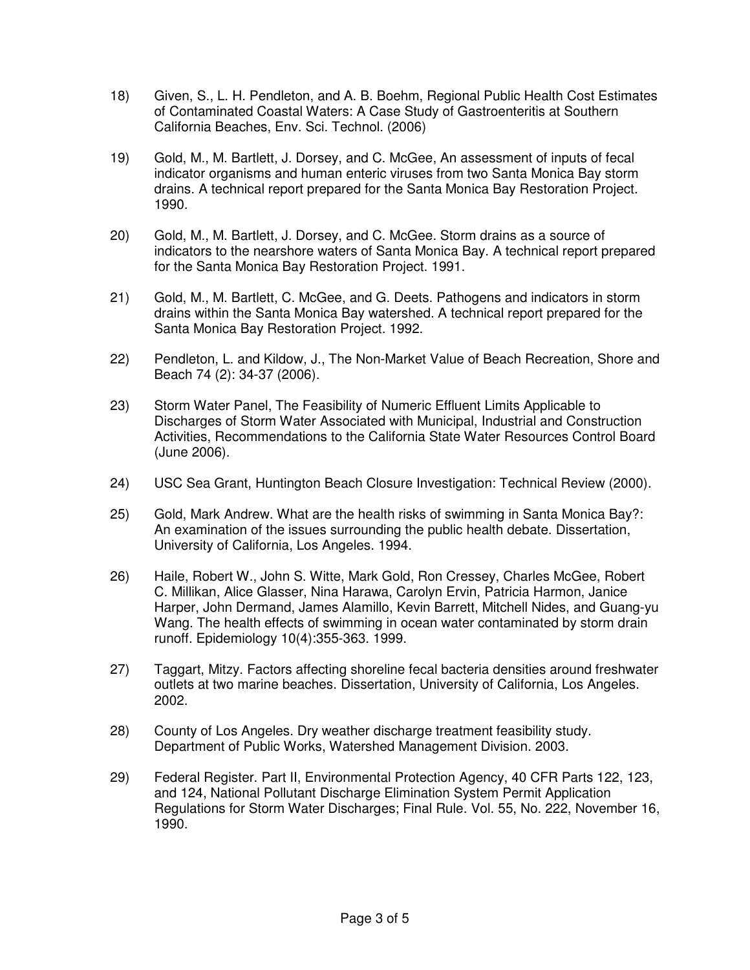- 18) Given, S., L. H. Pendleton, and A. B. Boehm, Regional Public Health Cost Estimates of Contaminated Coastal Waters: A Case Study of Gastroenteritis at Southern California Beaches, Env. Sci. Technol. (2006)
- 19) Gold, M., M. Bartlett, J. Dorsey, and C. McGee, An assessment of inputs of fecal indicator organisms and human enteric viruses from two Santa Monica Bay storm drains. A technical report prepared for the Santa Monica Bay Restoration Project. 1990.
- 20) Gold, M., M. Bartlett, J. Dorsey, and C. McGee. Storm drains as a source of indicators to the nearshore waters of Santa Monica Bay. A technical report prepared for the Santa Monica Bay Restoration Project. 1991.
- 21) Gold, M., M. Bartlett, C. McGee, and G. Deets. Pathogens and indicators in storm drains within the Santa Monica Bay watershed. A technical report prepared for the Santa Monica Bay Restoration Project. 1992.
- 22) Pendleton, L. and Kildow, J., The Non-Market Value of Beach Recreation, Shore and Beach 74 (2): 34-37 (2006).
- 23) Storm Water Panel, The Feasibility of Numeric Effluent Limits Applicable to Discharges of Storm Water Associated with Municipal, Industrial and Construction Activities, Recommendations to the California State Water Resources Control Board (June 2006).
- 24) USC Sea Grant, Huntington Beach Closure Investigation: Technical Review (2000).
- 25) Gold, Mark Andrew. What are the health risks of swimming in Santa Monica Bay?: An examination of the issues surrounding the public health debate. Dissertation, University of California, Los Angeles. 1994.
- 26) Haile, Robert W., John S. Witte, Mark Gold, Ron Cressey, Charles McGee, Robert C. Millikan, Alice Glasser, Nina Harawa, Carolyn Ervin, Patricia Harmon, Janice Harper, John Dermand, James Alamillo, Kevin Barrett, Mitchell Nides, and Guang-yu Wang. The health effects of swimming in ocean water contaminated by storm drain runoff. Epidemiology 10(4):355-363. 1999.
- 27) Taggart, Mitzy. Factors affecting shoreline fecal bacteria densities around freshwater outlets at two marine beaches. Dissertation, University of California, Los Angeles. 2002.
- 28) County of Los Angeles. Dry weather discharge treatment feasibility study. Department of Public Works, Watershed Management Division. 2003.
- 29) Federal Register. Part II, Environmental Protection Agency, 40 CFR Parts 122, 123, and 124, National Pollutant Discharge Elimination System Permit Application Regulations for Storm Water Discharges; Final Rule. Vol. 55, No. 222, November 16, 1990.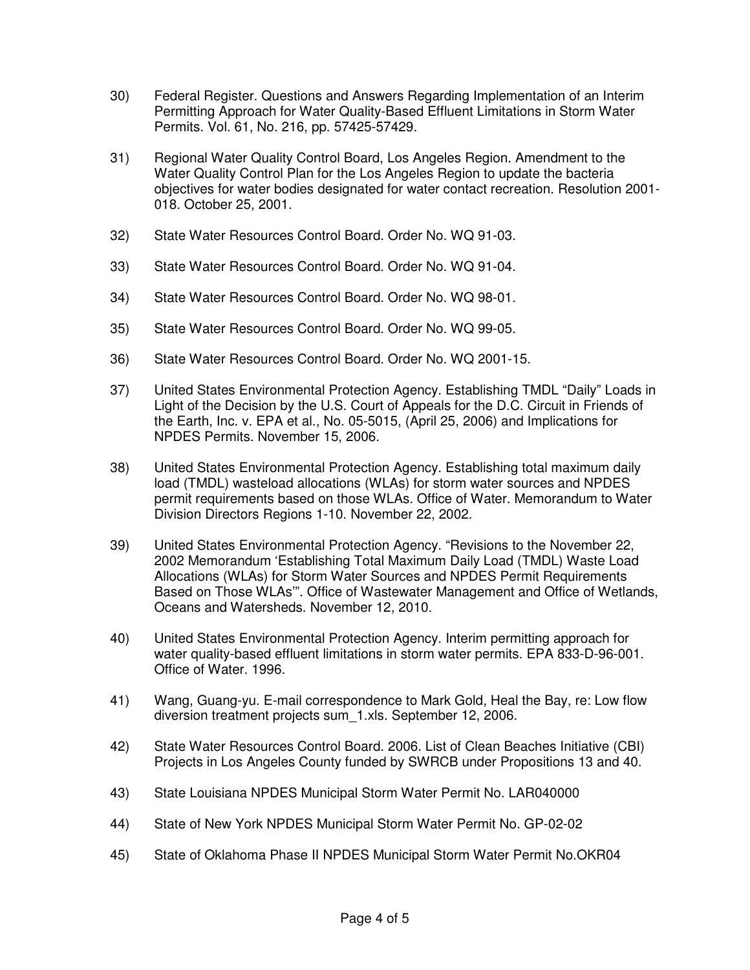- 30) Federal Register. Questions and Answers Regarding Implementation of an Interim Permitting Approach for Water Quality-Based Effluent Limitations in Storm Water Permits. Vol. 61, No. 216, pp. 57425-57429.
- 31) Regional Water Quality Control Board, Los Angeles Region. Amendment to the Water Quality Control Plan for the Los Angeles Region to update the bacteria objectives for water bodies designated for water contact recreation. Resolution 2001- 018. October 25, 2001.
- 32) State Water Resources Control Board. Order No. WQ 91-03.
- 33) State Water Resources Control Board. Order No. WQ 91-04.
- 34) State Water Resources Control Board. Order No. WQ 98-01.
- 35) State Water Resources Control Board. Order No. WQ 99-05.
- 36) State Water Resources Control Board. Order No. WQ 2001-15.
- 37) United States Environmental Protection Agency. Establishing TMDL "Daily" Loads in Light of the Decision by the U.S. Court of Appeals for the D.C. Circuit in Friends of the Earth, Inc. v. EPA et al., No. 05-5015, (April 25, 2006) and Implications for NPDES Permits. November 15, 2006.
- 38) United States Environmental Protection Agency. Establishing total maximum daily load (TMDL) wasteload allocations (WLAs) for storm water sources and NPDES permit requirements based on those WLAs. Office of Water. Memorandum to Water Division Directors Regions 1-10. November 22, 2002.
- 39) United States Environmental Protection Agency. "Revisions to the November 22, 2002 Memorandum 'Establishing Total Maximum Daily Load (TMDL) Waste Load Allocations (WLAs) for Storm Water Sources and NPDES Permit Requirements Based on Those WLAs'". Office of Wastewater Management and Office of Wetlands, Oceans and Watersheds. November 12, 2010.
- 40) United States Environmental Protection Agency. Interim permitting approach for water quality-based effluent limitations in storm water permits. EPA 833-D-96-001. Office of Water. 1996.
- 41) Wang, Guang-yu. E-mail correspondence to Mark Gold, Heal the Bay, re: Low flow diversion treatment projects sum\_1.xls. September 12, 2006.
- 42) State Water Resources Control Board. 2006. List of Clean Beaches Initiative (CBI) Projects in Los Angeles County funded by SWRCB under Propositions 13 and 40.
- 43) State Louisiana NPDES Municipal Storm Water Permit No. LAR040000
- 44) State of New York NPDES Municipal Storm Water Permit No. GP-02-02
- 45) State of Oklahoma Phase II NPDES Municipal Storm Water Permit No.OKR04